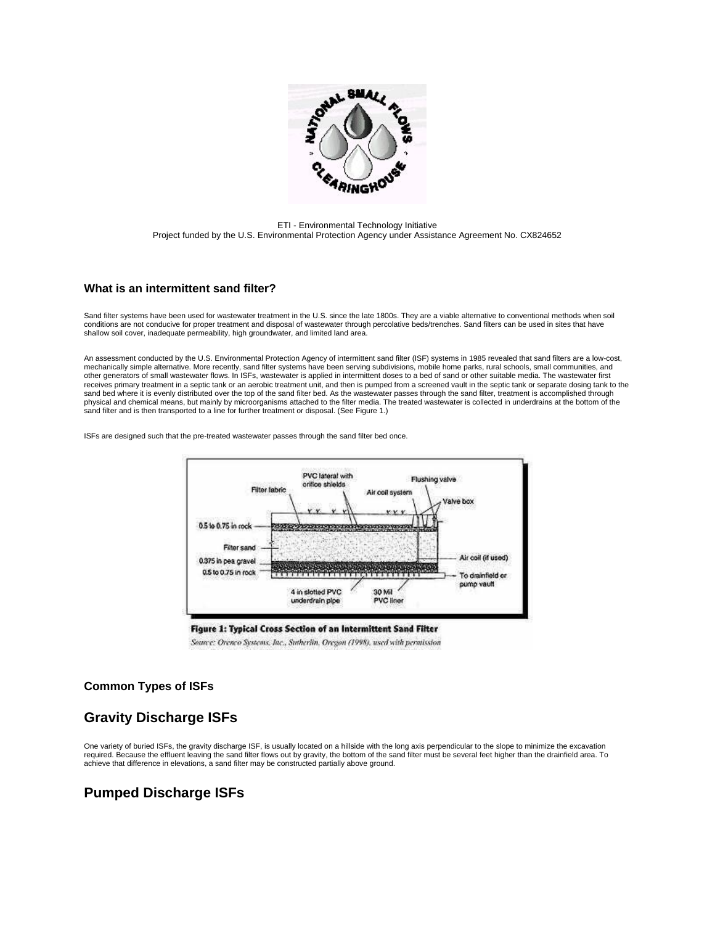

ETI - Environmental Technology Initiative Project funded by the U.S. Environmental Protection Agency under Assistance Agreement No. CX824652

### **What is an intermittent sand filter?**

Sand filter systems have been used for wastewater treatment in the U.S. since the late 1800s. They are a viable alternative to conventional methods when soil conditions are not conducive for proper treatment and disposal of wastewater through percolative beds/trenches. Sand filters can be used in sites that have shallow soil cover, inadequate permeability, high groundwater, and limited land area.

An assessment conducted by the U.S. Environmental Protection Agency of intermittent sand filter (ISF) systems in 1985 revealed that sand filters are a low-cost, mechanically simple alternative. More recently, sand filter systems have been serving subdivisions, mobile home parks, rural schools, small communities, and other generators of small wastewater flows. In ISFs, wastewater is applied in intermittent doses to a bed of sand or other suitable media. The wastewater first receives primary treatment in a septic tank or an aerobic treatment unit, and then is pumped from a screened vault in the septic tank or separate dosing tank to the sand bed where it is evenly distributed over the top of the sand filter bed. As the wastewater passes through the sand filter, treatment is accomplished through physical and chemical means, but mainly by microorganisms attached to the filter media. The treated wastewater is collected in underdrains at the bottom of the sand filter and is then transported to a line for further treatment or disposal. (See Figure 1.)

ISFs are designed such that the pre-treated wastewater passes through the sand filter bed once.



Figure 1: Typical Cross Section of an Intermittent Sand Filter

Source: Orenco Systems, Inc., Sutherlin, Oregon (1998), used with permission

### **Common Types of ISFs**

# **Gravity Discharge ISFs**

One variety of buried ISFs, the gravity discharge ISF, is usually located on a hillside with the long axis perpendicular to the slope to minimize the excavation required. Because the effluent leaving the sand filter flows out by gravity, the bottom of the sand filter must be several feet higher than the drainfield area. To achieve that difference in elevations, a sand filter may be constructed partially above ground.

## **Pumped Discharge ISFs**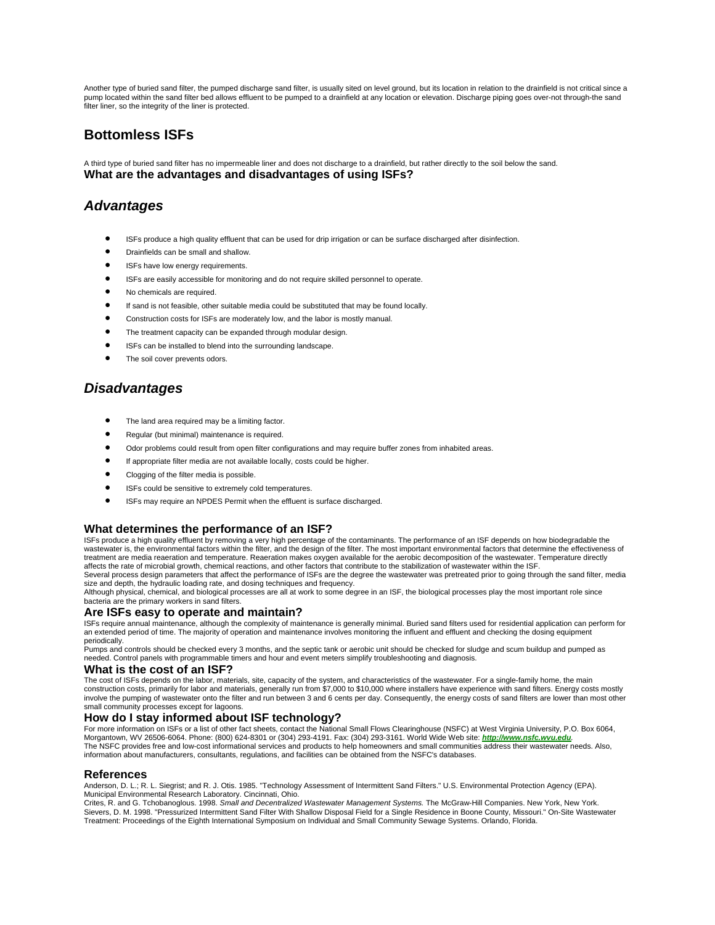Another type of buried sand filter, the pumped discharge sand filter, is usually sited on level ground, but its location in relation to the drainfield is not critical since a pump located within the sand filter bed allows effluent to be pumped to a drainfield at any location or elevation. Discharge piping goes over-not through-the sand<br>filter liner, so the integrity of the liner is protected.

# **Bottomless ISFs**

A third type of buried sand filter has no impermeable liner and does not discharge to a drainfield, but rather directly to the soil below the sand. **What are the advantages and disadvantages of using ISFs?**

## *Advantages*

- ISFs produce a high quality effluent that can be used for drip irrigation or can be surface discharged after disinfection.
- Drainfields can be small and shallow.
- **•** ISFs have low energy requirements.
- ISFs are easily accessible for monitoring and do not require skilled personnel to operate.
- No chemicals are required.
- If sand is not feasible, other suitable media could be substituted that may be found locally.
- Construction costs for ISFs are moderately low, and the labor is mostly manual.
- The treatment capacity can be expanded through modular design.
- ISFs can be installed to blend into the surrounding landscape.
- The soil cover prevents odors.

## *Disadvantages*

- The land area required may be a limiting factor.
- Regular (but minimal) maintenance is required.
- Odor problems could result from open filter configurations and may require buffer zones from inhabited areas.
- If appropriate filter media are not available locally, costs could be higher.
- Clogging of the filter media is possible
- ISFs could be sensitive to extremely cold temperatures.
- ISFs may require an NPDES Permit when the effluent is surface discharged.

### **What determines the performance of an ISF?**

ISFs produce a high quality effluent by removing a very high percentage of the contaminants. The performance of an ISF depends on how biodegradable the wastewater is, the environmental factors within the filter, and the design of the filter. The most important environmental factors that determine the effectiveness of treatment are media reaeration and temperature. Reaeration makes oxygen available for the aerobic decomposition of the wastewater. Temperature directly affects the rate of microbial growth, chemical reactions, and other factors that contribute to the stabilization of wastewater within the ISF.

Several process design parameters that affect the performance of ISFs are the degree the wastewater was pretreated prior to going through the sand filter, media size and depth, the hydraulic loading rate, and dosing techniques and frequency.

Although physical, chemical, and biological processes are all at work to some degree in an ISF, the biological processes play the most important role since bacteria are the primary workers in sand filters.

#### **Are ISFs easy to operate and maintain?**

ISFs require annual maintenance, although the complexity of maintenance is generally minimal. Buried sand filters used for residential application can perform for an extended period of time. The majority of operation and maintenance involves monitoring the influent and effluent and checking the dosing equipment periodically.

Pumps and controls should be checked every 3 months, and the septic tank or aerobic unit should be checked for sludge and scum buildup and pumped as<br>needed. Control panels with programmable timers and hour and event meters

#### **What is the cost of an ISF?**

The cost of ISFs depends on the labor, materials, site, capacity of the system, and characteristics of the wastewater. For a single-family home, the main<br>construction costs, primarily for labor and materials, generally run involve the pumping of wastewater onto the filter and run between 3 and 6 cents per day. Consequently, the energy costs of sand filters are lower than most other small community processes except for lagoons.

#### **How do I stay informed about ISF technology?**

For more information on ISFs or a list of other fact sheets, contact the National Small Flows Clearinghouse (NSFC) at West Virginia University, P.O. Box 6064, Morgantown, WV 26506-6064. Phone: (800) 624-8301 or (304) 293-4191. Fax: (304) 293-3161. World Wide Web site: *[http://www.nsfc.wvu.edu](http://www.nsfc.wvu.edu/).* The NSFC provides free and low-cost informational services and products to help homeowners and small communities address their wastewater needs. Also, information about manufacturers, consultants, regulations, and facilities can be obtained from the NSFC's databases.

#### **References**

Anderson, D. L.; R. L. Siegrist; and R. J. Otis. 1985. "Technology Assessment of Intermittent Sand Filters." U.S. Environmental Protection Agency (EPA). Municipal Environmental Research Laboratory. Cincinnati, Ohio.

Crites, R. and G. Tchobanoglous. 1998. *Small and Decentralized Wastewater Management Systems.* The McGraw-Hill Companies. New York, New York. Sievers, D. M. 1998. "Pressurized Intermittent Sand Filter With Shallow Disposal Field for a Single Residence in Boone County, Missouri." On-Site Wastewater Treatment: Proceedings of the Eighth International Symposium on Individual and Small Community Sewage Systems. Orlando, Florida.